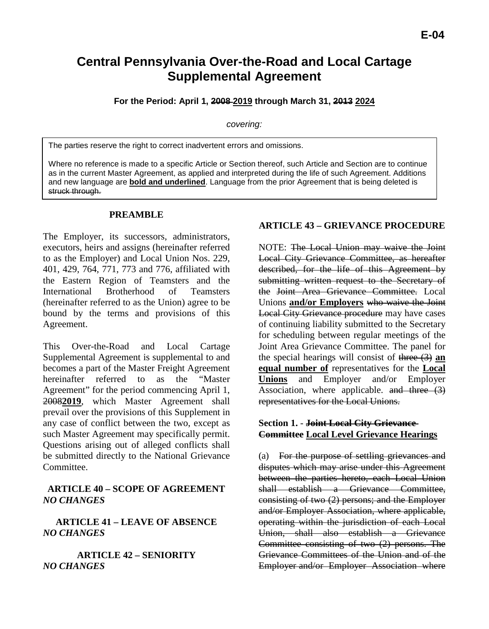# **Central Pennsylvania Over-the-Road and Local Cartage Supplemental Agreement**

**For the Period: April 1, 2008 2019 through March 31, 2013 2024**

#### *covering:*

The parties reserve the right to correct inadvertent errors and omissions.

Where no reference is made to a specific Article or Section thereof, such Article and Section are to continue as in the current Master Agreement, as applied and interpreted during the life of such Agreement. Additions and new language are **bold and underlined**. Language from the prior Agreement that is being deleted is struck through.

### **PREAMBLE**

The Employer, its successors, administrators, executors, heirs and assigns (hereinafter referred to as the Employer) and Local Union Nos. 229, 401, 429, 764, 771, 773 and 776, affiliated with the Eastern Region of Teamsters and the International Brotherhood of Teamsters (hereinafter referred to as the Union) agree to be bound by the terms and provisions of this Agreement.

This Over-the-Road and Local Cartage Supplemental Agreement is supplemental to and becomes a part of the Master Freight Agreement hereinafter referred to as the "Master Agreement" for the period commencing April 1, 2008**2019**, which Master Agreement shall prevail over the provisions of this Supplement in any case of conflict between the two, except as such Master Agreement may specifically permit. Questions arising out of alleged conflicts shall be submitted directly to the National Grievance Committee.

### **ARTICLE 40 – SCOPE OF AGREEMENT** *NO CHANGES*

**ARTICLE 41 – LEAVE OF ABSENCE** *NO CHANGES*

**ARTICLE 42 – SENIORITY** *NO CHANGES*

### **ARTICLE 43 – GRIEVANCE PROCEDURE**

NOTE: The Local Union may waive the Joint Local City Grievance Committee, as hereafter described, for the life of this Agreement by submitting written request to the Secretary of the Joint Area Grievance Committee. Local Unions **and/or Employers** who waive the Joint Local City Grievance procedure may have cases of continuing liability submitted to the Secretary for scheduling between regular meetings of the Joint Area Grievance Committee. The panel for the special hearings will consist of three (3) **an equal number of** representatives for the **Local Unions** and Employer and/or Employer Association, where applicable.  $\theta$  and three  $(3)$ representatives for the Local Unions.

### **Section 1.** - **Joint Local City Grievance Committee Local Level Grievance Hearings**

(a) For the purpose of settling grievances and disputes which may arise under this Agreement between the parties hereto, each Local Union shall establish a Grievance Committee. consisting of two (2) persons; and the Employer and/or Employer Association, where applicable, operating within the jurisdiction of each Local Union, shall also establish a Grievance Committee consisting of two (2) persons. The Grievance Committees of the Union and of the Employer and/or Employer Association where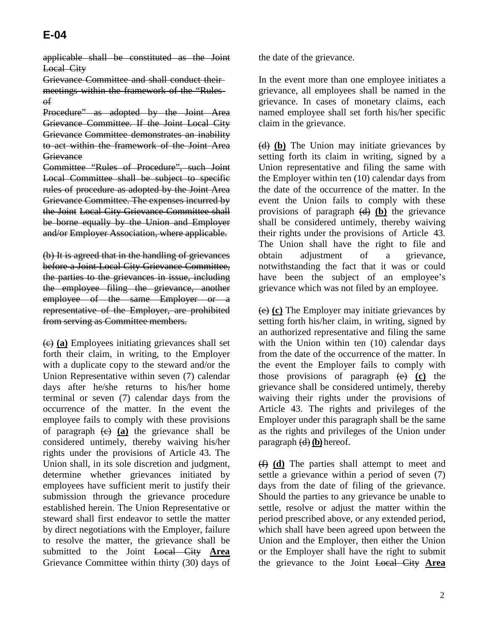applicable shall be constituted as the Joint Local City

Grievance Committee and shall conduct their meetings within the framework of the "Rules of

Procedure" as adopted by the Joint Area Grievance Committee. If the Joint Local City Grievance Committee demonstrates an inability to act within the framework of the Joint Area **Grievance** 

Committee "Rules of Procedure", such Joint Local Committee shall be subject to specific rules of procedure as adopted by the Joint Area Grievance Committee. The expenses incurred by the Joint Local City Grievance Committee shall be borne equally by the Union and Employer and/or Employer Association, where applicable.

(b) It is agreed that in the handling of grievances before a Joint Local City Grievance Committee, the parties to the grievances in issue, including the employee filing the grievance, another employee of the same Employer or a representative of the Employer, are prohibited from serving as Committee members.

(c) **(a)** Employees initiating grievances shall set forth their claim, in writing, to the Employer with a duplicate copy to the steward and/or the Union Representative within seven (7) calendar days after he/she returns to his/her home terminal or seven (7) calendar days from the occurrence of the matter. In the event the employee fails to comply with these provisions of paragraph (c) **(a)** the grievance shall be considered untimely, thereby waiving his/her rights under the provisions of Article 43. The Union shall, in its sole discretion and judgment, determine whether grievances initiated by employees have sufficient merit to justify their submission through the grievance procedure established herein. The Union Representative or steward shall first endeavor to settle the matter by direct negotiations with the Employer, failure to resolve the matter, the grievance shall be submitted to the Joint Local City **Area** Grievance Committee within thirty (30) days of

the date of the grievance.

In the event more than one employee initiates a grievance, all employees shall be named in the grievance. In cases of monetary claims, each named employee shall set forth his/her specific claim in the grievance.

(d) **(b)** The Union may initiate grievances by setting forth its claim in writing, signed by a Union representative and filing the same with the Employer within ten (10) calendar days from the date of the occurrence of the matter. In the event the Union fails to comply with these provisions of paragraph (d) **(b)** the grievance shall be considered untimely, thereby waiving their rights under the provisions of Article 43. The Union shall have the right to file and obtain adjustment of a grievance, notwithstanding the fact that it was or could have been the subject of an employee's grievance which was not filed by an employee.

(e) **(c)** The Employer may initiate grievances by setting forth his/her claim, in writing, signed by an authorized representative and filing the same with the Union within ten (10) calendar days from the date of the occurrence of the matter. In the event the Employer fails to comply with those provisions of paragraph (e) **(c)** the grievance shall be considered untimely, thereby waiving their rights under the provisions of Article 43. The rights and privileges of the Employer under this paragraph shall be the same as the rights and privileges of the Union under paragraph (d) **(b)** hereof.

(f) **(d)** The parties shall attempt to meet and settle a grievance within a period of seven (7) days from the date of filing of the grievance. Should the parties to any grievance be unable to settle, resolve or adjust the matter within the period prescribed above, or any extended period, which shall have been agreed upon between the Union and the Employer, then either the Union or the Employer shall have the right to submit the grievance to the Joint Local City **Area**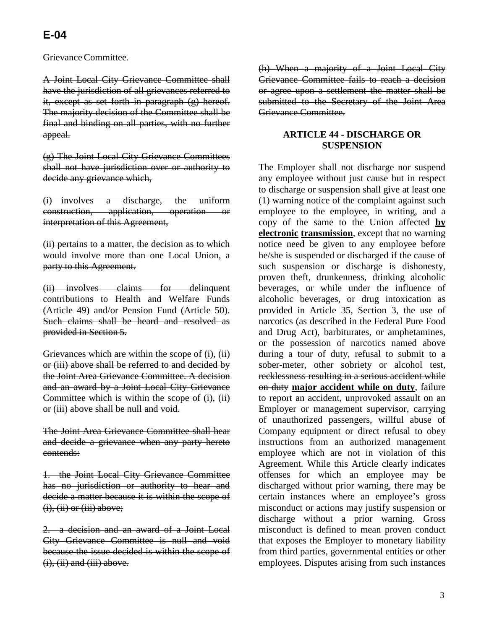Grievance Committee.

A Joint Local City Grievance Committee shall have the jurisdiction of all grievances referred to it, except as set forth in paragraph (g) hereof. The majority decision of the Committee shall be final and binding on all parties, with no further appeal.

(g) The Joint Local City Grievance Committees shall not have jurisdiction over or authority to decide any grievance which,

(i) involves a discharge, the uniform construction, application, operation or interpretation of this Agreement,

(ii) pertains to a matter, the decision as to which would involve more than one Local Union, a party to this Agreement.

(ii) involves claims for delinquent contributions to Health and Welfare Funds (Article 49) and/or Pension Fund (Article 50). Such claims shall be heard and resolved as provided in Section 5.

Grievances which are within the scope of (i), (ii) or (iii) above shall be referred to and decided by the Joint Area Grievance Committee. A decision and an award by a Joint Local City Grievance Committee which is within the scope of (i), (ii) or (iii) above shall be null and void.

The Joint Area Grievance Committee shall hear and decide a grievance when any party hereto contends:

1. the Joint Local City Grievance Committee has no jurisdiction or authority to hear and decide a matter because it is within the scope of  $(i)$ ,  $(ii)$  or  $(iii)$  above;

2. a decision and an award of a Joint Local City Grievance Committee is null and void because the issue decided is within the scope of  $(i)$ ,  $(ii)$  and  $(iii)$  above.

(h) When a majority of a Joint Local City Grievance Committee fails to reach a decision or agree upon a settlement the matter shall be submitted to the Secretary of the Joint Area Grievance Committee.

### **ARTICLE 44 - DISCHARGE OR SUSPENSION**

The Employer shall not discharge nor suspend any employee without just cause but in respect to discharge or suspension shall give at least one (1) warning notice of the complaint against such employee to the employee, in writing, and a copy of the same to the Union affected **by electronic transmission**, except that no warning notice need be given to any employee before he/she is suspended or discharged if the cause of such suspension or discharge is dishonesty, proven theft, drunkenness, drinking alcoholic beverages, or while under the influence of alcoholic beverages, or drug intoxication as provided in Article 35, Section 3, the use of narcotics (as described in the Federal Pure Food and Drug Act), barbiturates, or amphetamines, or the possession of narcotics named above during a tour of duty, refusal to submit to a sober-meter, other sobriety or alcohol test, recklessness resulting in a serious accident while on duty **major accident while on duty**, failure to report an accident, unprovoked assault on an Employer or management supervisor, carrying of unauthorized passengers, willful abuse of Company equipment or direct refusal to obey instructions from an authorized management employee which are not in violation of this Agreement. While this Article clearly indicates offenses for which an employee may be discharged without prior warning, there may be certain instances where an employee's gross misconduct or actions may justify suspension or discharge without a prior warning. Gross misconduct is defined to mean proven conduct that exposes the Employer to monetary liability from third parties, governmental entities or other employees. Disputes arising from such instances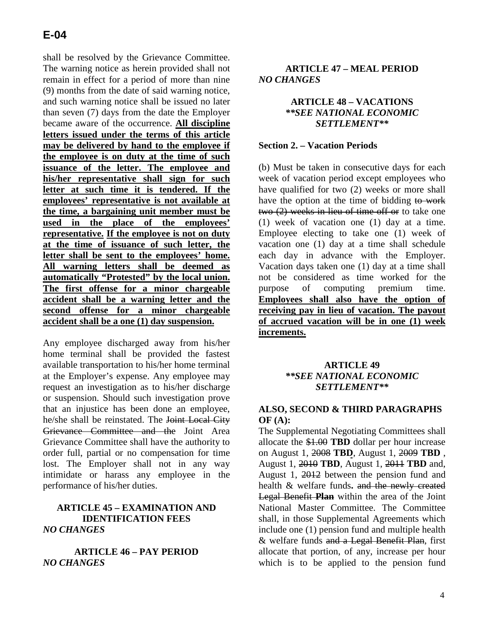shall be resolved by the Grievance Committee. The warning notice as herein provided shall not remain in effect for a period of more than nine (9) months from the date of said warning notice, and such warning notice shall be issued no later than seven (7) days from the date the Employer became aware of the occurrence. **All discipline letters issued under the terms of this article may be delivered by hand to the employee if the employee is on duty at the time of such issuance of the letter. The employee and his/her representative shall sign for such letter at such time it is tendered. If the employees' representative is not available at the time, a bargaining unit member must be used in the place of the employees' representative. If the employee is not on duty at the time of issuance of such letter, the letter shall be sent to the employees' home. All warning letters shall be deemed as automatically "Protested" by the local union. The first offense for a minor chargeable accident shall be a warning letter and the second offense for a minor chargeable accident shall be a one (1) day suspension.**

Any employee discharged away from his/her home terminal shall be provided the fastest available transportation to his/her home terminal at the Employer's expense. Any employee may request an investigation as to his/her discharge or suspension. Should such investigation prove that an injustice has been done an employee, he/she shall be reinstated. The Joint Local City Grievance Committee and the Joint Area Grievance Committee shall have the authority to order full, partial or no compensation for time lost. The Employer shall not in any way intimidate or harass any employee in the performance of his/her duties.

### **ARTICLE 45 – EXAMINATION AND IDENTIFICATION FEES** *NO CHANGES*

**ARTICLE 46 – PAY PERIOD** *NO CHANGES*

### **ARTICLE 47 – MEAL PERIOD** *NO CHANGES*

### **ARTICLE 48 – VACATIONS**  *\*\*SEE NATIONAL ECONOMIC SETTLEMENT\*\**

#### **Section 2. – Vacation Periods**

(b) Must be taken in consecutive days for each week of vacation period except employees who have qualified for two (2) weeks or more shall have the option at the time of bidding to work two (2) weeks in lieu of time off or to take one (1) week of vacation one (1) day at a time. Employee electing to take one (1) week of vacation one (1) day at a time shall schedule each day in advance with the Employer. Vacation days taken one (1) day at a time shall not be considered as time worked for the purpose of computing premium time. **Employees shall also have the option of receiving pay in lieu of vacation. The payout of accrued vacation will be in one (1) week increments.**

### **ARTICLE 49** *\*\*SEE NATIONAL ECONOMIC SETTLEMENT\*\**

### **ALSO, SECOND & THIRD PARAGRAPHS OF (A):**

The Supplemental Negotiating Committees shall allocate the \$1.00 **TBD** dollar per hour increase on August 1, 2008 **TBD**, August 1, 2009 **TBD** , August 1, 2010 **TBD**, August 1, 2011 **TBD** and, August 1, 2012 between the pension fund and health & welfare funds**.** and the newly created Legal Benefit **Plan** within the area of the Joint National Master Committee. The Committee shall, in those Supplemental Agreements which include one (1) pension fund and multiple health & welfare funds and a Legal Benefit Plan, first allocate that portion, of any, increase per hour which is to be applied to the pension fund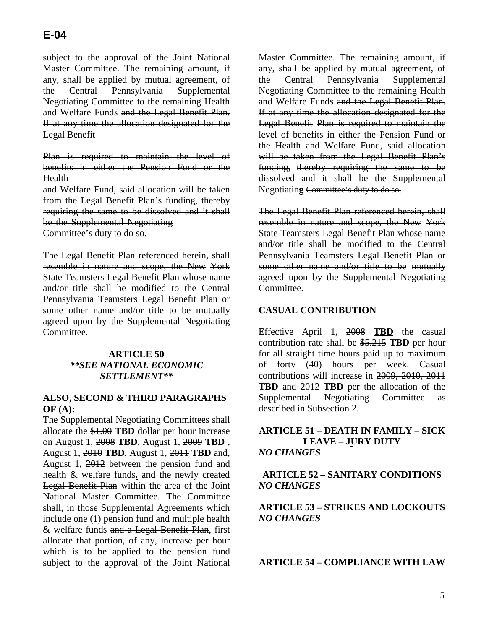subject to the approval of the Joint National Master Committee. The remaining amount, if any, shall be applied by mutual agreement, of the Central Pennsylvania Supplemental Negotiating Committee to the remaining Health and Welfare Funds and the Legal Benefit Plan. If at any time the allocation designated for the Legal Benefit

Plan is required to maintain the level of benefits in either the Pension Fund or the Health

and Welfare Fund, said allocation will be taken from the Legal Benefit Plan's funding, thereby requiring the same to be dissolved and it shall be the Supplemental Negotiating

Committee's duty to do so.

The Legal Benefit Plan referenced herein, shall resemble in nature and scope, the New York State Teamsters Legal Benefit Plan whose name and/or title shall be modified to the Central Pennsylvania Teamsters Legal Benefit Plan or some other name and/or title to be mutually agreed upon by the Supplemental Negotiating Committee.

### **ARTICLE 50**  *\*\*SEE NATIONAL ECONOMIC SETTLEMENT\*\**

### **ALSO, SECOND & THIRD PARAGRAPHS OF (A):**

The Supplemental Negotiating Committees shall allocate the \$1.00 **TBD** dollar per hour increase on August 1, 2008 **TBD**, August 1, 2009 **TBD** , August 1, 2010 **TBD**, August 1, 2011 **TBD** and, August 1, 2012 between the pension fund and health & welfare funds**.** and the newly created Legal Benefit Plan within the area of the Joint National Master Committee. The Committee shall, in those Supplemental Agreements which include one (1) pension fund and multiple health & welfare funds and a Legal Benefit Plan, first allocate that portion, of any, increase per hour which is to be applied to the pension fund subject to the approval of the Joint National Master Committee. The remaining amount, if any, shall be applied by mutual agreement, of the Central Pennsylvania Supplemental Negotiating Committee to the remaining Health and Welfare Funds and the Legal Benefit Plan. If at any time the allocation designated for the Legal Benefit Plan is required to maintain the level of benefits in either the Pension Fund or the Health and Welfare Fund, said allocation will be taken from the Legal Benefit Plan's funding, thereby requiring the same to be dissolved and it shall be the Supplemental Negotiatin**g** Committee's duty to do so.

The Legal Benefit Plan referenced herein, shall resemble in nature and scope, the New York State Teamsters Legal Benefit Plan whose name and/or title shall be modified to the Central Pennsylvania Teamsters Legal Benefit Plan or some other name and/or title to be mutually agreed upon by the Supplemental Negotiating Committee.

### **CASUAL CONTRIBUTION**

Effective April 1, 2008 **TBD** the casual contribution rate shall be \$5.215 **TBD** per hour for all straight time hours paid up to maximum of forty (40) hours per week. Casual contributions will increase in 2009, 2010, 2011 **TBD** and 2012 **TBD** per the allocation of the Supplemental Negotiating Committee as described in Subsection 2.

### **ARTICLE 51 – DEATH IN FAMILY – SICK LEAVE – JURY DUTY** *NO CHANGES*

### **ARTICLE 52 – SANITARY CONDITIONS** *NO CHANGES*

**ARTICLE 53 – STRIKES AND LOCKOUTS** *NO CHANGES*

**ARTICLE 54 – COMPLIANCE WITH LAW**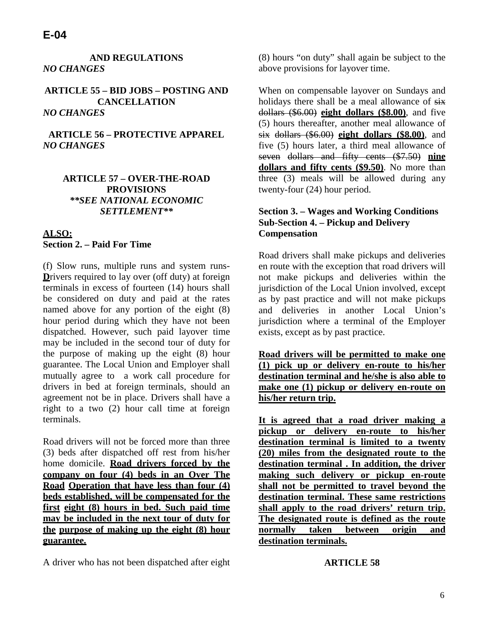### **AND REGULATIONS** *NO CHANGES*

**ARTICLE 55 – BID JOBS – POSTING AND CANCELLATION** *NO CHANGES*

**ARTICLE 56 – PROTECTIVE APPAREL** *NO CHANGES*

### **ARTICLE 57 – OVER-THE-ROAD PROVISIONS** *\*\*SEE NATIONAL ECONOMIC SETTLEMENT\*\**

### **ALSO: Section 2. – Paid For Time**

(f) Slow runs, multiple runs and system runs-**Drivers required to lay over (off duty) at foreign** terminals in excess of fourteen (14) hours shall be considered on duty and paid at the rates named above for any portion of the eight (8) hour period during which they have not been dispatched. However, such paid layover time may be included in the second tour of duty for the purpose of making up the eight (8) hour guarantee. The Local Union and Employer shall mutually agree to a work call procedure for drivers in bed at foreign terminals, should an agreement not be in place. Drivers shall have a right to a two (2) hour call time at foreign terminals.

Road drivers will not be forced more than three (3) beds after dispatched off rest from his/her home domicile. **Road drivers forced by the company on four (4) beds in an Over The Road Operation that have less than four (4) beds established, will be compensated for the first eight (8) hours in bed. Such paid time may be included in the next tour of duty for the purpose of making up the eight (8) hour guarantee.**

A driver who has not been dispatched after eight

(8) hours "on duty" shall again be subject to the above provisions for layover time.

When on compensable layover on Sundays and holidays there shall be a meal allowance of  $s$ ix dollars (\$6.00) **eight dollars (\$8.00)**, and five (5) hours thereafter, another meal allowance of six dollars (\$6.00) **eight dollars (\$8.00)**, and five (5) hours later, a third meal allowance of seven dollars and fifty cents (\$7.50) **nine dollars and fifty cents (\$9.50)**. No more than three (3) meals will be allowed during any twenty-four (24) hour period.

### **Section 3. – Wages and Working Conditions Sub-Section 4. – Pickup and Delivery Compensation**

Road drivers shall make pickups and deliveries en route with the exception that road drivers will not make pickups and deliveries within the jurisdiction of the Local Union involved, except as by past practice and will not make pickups and deliveries in another Local Union's jurisdiction where a terminal of the Employer exists, except as by past practice.

**Road drivers will be permitted to make one (1) pick up or delivery en-route to his/her destination terminal and he/she is also able to make one (1) pickup or delivery en-route on his/her return trip.**

**It is agreed that a road driver making a pickup or delivery en-route to his/her destination terminal is limited to a twenty (20) miles from the designated route to the destination terminal . In addition, the driver making such delivery or pickup en-route shall not be permitted to travel beyond the destination terminal. These same restrictions shall apply to the road drivers' return trip. The designated route is defined as the route normally taken between origin and destination terminals.**

#### **ARTICLE 58**